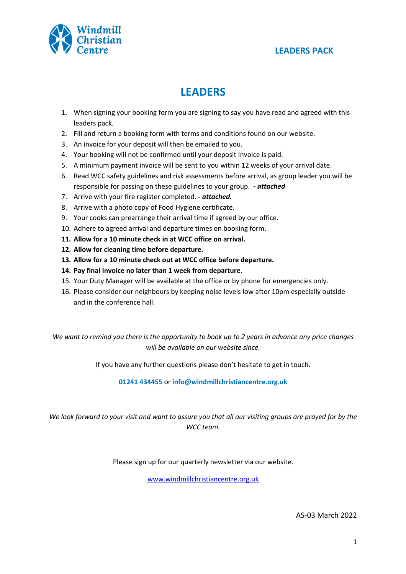

# **LEADERS**

- 1. When signing your booking form you are signing to say you have read and agreed with this leaders pack.
- 2. Fill and return a booking form with terms and conditions found on our website.
- 3. An invoice for your deposit will then be emailed to you.
- 4. Your booking will not be confirmed until your deposit Invoice is paid.
- 5. A minimum payment invoice will be sent to you within 12 weeks of your arrival date.
- 6. Read WCC safety guidelines and risk assessments before arrival, as group leader you will be responsible for passing on these guidelines to your group. *- attached*
- 7. Arrive with your fire register completed. *- attached.*
- 8. Arrive with a photo copy of Food Hygiene certificate.
- 9. Your cooks can prearrange their arrival time if agreed by our office.
- 10. Adhere to agreed arrival and departure times on booking form.
- **11. Allow for a 10 minute check in at WCC office on arrival.**
- **12. Allow for cleaning time before departure.**
- **13. Allow for a 10 minute check out at WCC office before departure.**
- **14. Pay final Invoice no later than 1 week from departure.**
- 15. Your Duty Manager will be available at the office or by phone for emergencies only.
- 16. Please consider our neighbours by keeping noise levels low after 10pm especially outside and in the conference hall.

*We want to remind you there is the opportunity to book up to 2 years in advance any price changes will be available on our website since.*

If you have any further questions please don't hesitate to get in touch.

**01241 434455** or **info@windmillchristiancentre.org.uk**

*We look forward to your visit and want to assure you that all our visiting groups are prayed for by the WCC team.*

Please sign up for our quarterly newsletter via our website.

www.windmillchristiancentre.org.uk

AS-03 March 2022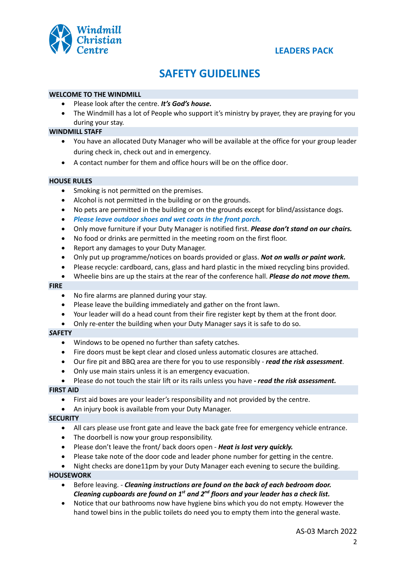

## **SAFETY GUIDELINES**

#### **WELCOME TO THE WINDMILL**

- Please look after the centre. *It's God's house.*
- The Windmill has a lot of People who support it's ministry by prayer, they are praying for you during your stay.

### **WINDMILL STAFF**

- You have an allocated Duty Manager who will be available at the office for your group leader during check in, check out and in emergency.
- A contact number for them and office hours will be on the office door.

#### **HOUSE RULES**

- Smoking is not permitted on the premises.
- Alcohol is not permitted in the building or on the grounds.
- No pets are permitted in the building or on the grounds except for blind/assistance dogs.
- *Please leave outdoor shoes and wet coats in the front porch.*
- Only move furniture if your Duty Manager is notified first. *Please don't stand on our chairs.*
- No food or drinks are permitted in the meeting room on the first floor.
- Report any damages to your Duty Manager.
- Only put up programme/notices on boards provided or glass. *Not on walls or paint work.*
- Please recycle: cardboard, cans, glass and hard plastic in the mixed recycling bins provided.
- Wheelie bins are up the stairs at the rear of the conference hall. *Please do not move them.*

#### **FIRE**

- No fire alarms are planned during your stay.
- Please leave the building immediately and gather on the front lawn.
- Your leader will do a head count from their fire register kept by them at the front door.
- Only re-enter the building when your Duty Manager says it is safe to do so.

#### *S***AFETY**

- Windows to be opened no further than safety catches.
- Fire doors must be kept clear and closed unless automatic closures are attached.
- Our fire pit and BBQ area are there for you to use responsibly *read the risk assessment*.
- Only use main stairs unless it is an emergency evacuation.
- Please do not touch the stair lift or its rails unless you have *- read the risk assessment.*

#### **FIRST AID**

- First aid boxes are your leader's responsibility and not provided by the centre.
- An injury book is available from your Duty Manager.

#### **SECURITY**

- All cars please use front gate and leave the back gate free for emergency vehicle entrance.
- The doorbell is now your group responsibility.
- Please don't leave the front/ back doors open *Heat is lost very quickly.*
- Please take note of the door code and leader phone number for getting in the centre.
- Night checks are done11pm by your Duty Manager each evening to secure the building.

#### **HOUSEWORK**

- Before leaving. *Cleaning instructions are found on the back of each bedroom door. Cleaning cupboards are found on 1st and 2nd floors and your leader has a check list.*
- Notice that our bathrooms now have hygiene bins which you do not empty. However the hand towel bins in the public toilets do need you to empty them into the general waste.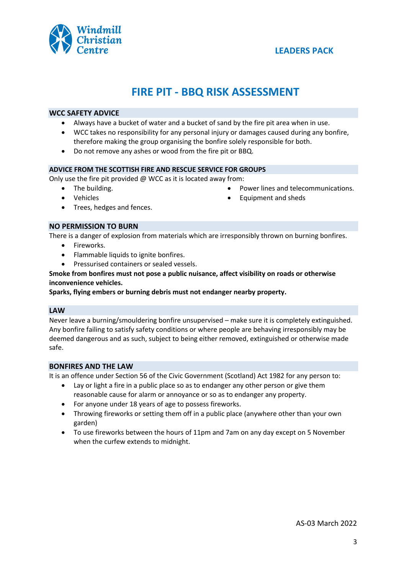

# **FIRE PIT - BBQ RISK ASSESSMENT**

#### **WCC SAFETY ADVICE**

- Always have a bucket of water and a bucket of sand by the fire pit area when in use.
- WCC takes no responsibility for any personal injury or damages caused during any bonfire, therefore making the group organising the bonfire solely responsible for both.
- Do not remove any ashes or wood from the fire pit or BBQ.

#### **ADVICE FROM THE SCOTTISH FIRE AND RESCUE SERVICE FOR GROUPS**

Only use the fire pit provided @ WCC as it is located away from:

• Power lines and telecommunications.

• Equipment and sheds

- The building. • Vehicles
- Trees, hedges and fences.

### **NO PERMISSION TO BURN**

There is a danger of explosion from materials which are irresponsibly thrown on burning bonfires.

- Fireworks.
- Flammable liquids to ignite bonfires.
- Pressurised containers or sealed vessels.

#### **Smoke from bonfires must not pose a public nuisance, affect visibility on roads or otherwise inconvenience vehicles.**

#### **Sparks, flying embers or burning debris must not endanger nearby property.**

#### **LAW**

Never leave a burning/smouldering bonfire unsupervised – make sure it is completely extinguished. Any bonfire failing to satisfy safety conditions or where people are behaving irresponsibly may be deemed dangerous and as such, subject to being either removed, extinguished or otherwise made safe.

#### **BONFIRES AND THE LAW**

It is an offence under Section 56 of the Civic Government (Scotland) Act 1982 for any person to:

- Lay or light a fire in a public place so as to endanger any other person or give them reasonable cause for alarm or annoyance or so as to endanger any property.
- For anyone under 18 years of age to possess fireworks.
- Throwing fireworks or setting them off in a public place (anywhere other than your own garden)
- To use fireworks between the hours of 11pm and 7am on any day except on 5 November when the curfew extends to midnight.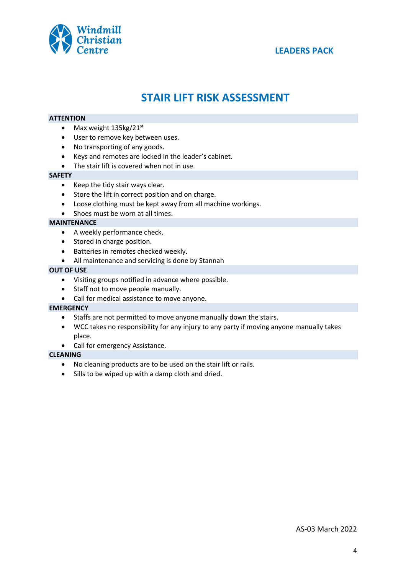

# **STAIR LIFT RISK ASSESSMENT**

#### **ATTENTION**

- Max weight  $135\text{kg}/21\text{st}$
- User to remove key between uses.
- No transporting of any goods.
- Keys and remotes are locked in the leader's cabinet.
- The stair lift is covered when not in use.

#### **SAFETY**

- Keep the tidy stair ways clear.
- Store the lift in correct position and on charge.
- Loose clothing must be kept away from all machine workings.
- Shoes must be worn at all times.

#### **MAINTENANCE**

- A weekly performance check.
- Stored in charge position.
- Batteries in remotes checked weekly.
- All maintenance and servicing is done by Stannah

#### **OUT OF USE**

- Visiting groups notified in advance where possible.
- Staff not to move people manually.
- Call for medical assistance to move anyone.

#### **EMERGENCY**

- Staffs are not permitted to move anyone manually down the stairs.
- WCC takes no responsibility for any injury to any party if moving anyone manually takes place.
- Call for emergency Assistance.

#### **CLEANING**

- No cleaning products are to be used on the stair lift or rails.
- Sills to be wiped up with a damp cloth and dried.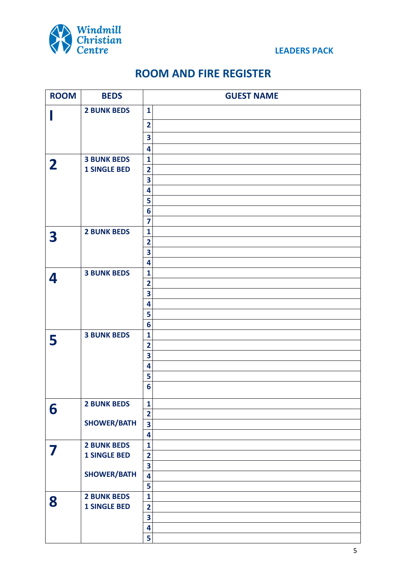

# **ROOM AND FIRE REGISTER**

| <b>ROOM</b>  | <b>BEDS</b>         | <b>GUEST NAME</b>                       |
|--------------|---------------------|-----------------------------------------|
|              | <b>2 BUNK BEDS</b>  | $\mathbf{1}$                            |
|              |                     | $\overline{\mathbf{2}}$                 |
|              |                     | 3                                       |
|              |                     | 4                                       |
|              | <b>3 BUNK BEDS</b>  | $\mathbf{1}$                            |
| $\mathbf{2}$ | <b>1 SINGLE BED</b> | $\overline{\mathbf{2}}$                 |
|              |                     | 3                                       |
|              |                     | 4                                       |
|              |                     | 5                                       |
|              |                     | 6                                       |
|              |                     | $\overline{\mathbf{z}}$                 |
| 3            | <b>2 BUNK BEDS</b>  | $\mathbf{1}$                            |
|              |                     | $\overline{\mathbf{2}}$                 |
|              |                     | 3                                       |
|              |                     | 4                                       |
| 4            | <b>3 BUNK BEDS</b>  | $\mathbf{1}$<br>$\overline{\mathbf{2}}$ |
|              |                     | $\overline{\mathbf{3}}$                 |
|              |                     | 4                                       |
|              |                     | 5                                       |
|              |                     | 6                                       |
|              | <b>3 BUNK BEDS</b>  | $\mathbf{1}$                            |
| 5            |                     | $\overline{\mathbf{2}}$                 |
|              |                     | 3                                       |
|              |                     | 4                                       |
|              |                     | 5                                       |
|              |                     | 6                                       |
|              | <b>2 BUNK BEDS</b>  | $\mathbf{1}$                            |
| 6            |                     | $\overline{\mathbf{2}}$                 |
|              | <b>SHOWER/BATH</b>  | 3                                       |
|              |                     | 4                                       |
|              | <b>2 BUNK BEDS</b>  | $\mathbf{1}$                            |
|              | <b>1 SINGLE BED</b> | $\overline{\mathbf{2}}$                 |
|              |                     | $\overline{\mathbf{3}}$                 |
|              | <b>SHOWER/BATH</b>  | 4                                       |
|              |                     | 5                                       |
| 8            | <b>2 BUNK BEDS</b>  | $\mathbf{1}$                            |
|              | <b>1 SINGLE BED</b> | $\overline{\mathbf{2}}$                 |
|              |                     | $\overline{\mathbf{3}}$                 |
|              |                     | 4                                       |
|              |                     | 5                                       |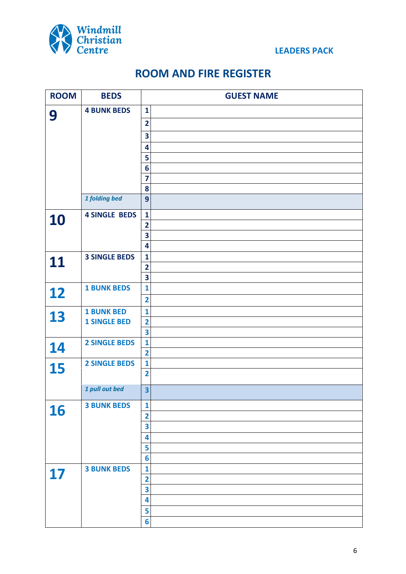

# **ROOM AND FIRE REGISTER**

| <b>ROOM</b> | <b>BEDS</b>          | <b>GUEST NAME</b>                       |
|-------------|----------------------|-----------------------------------------|
| 9           | <b>4 BUNK BEDS</b>   | $\mathbf{1}$                            |
|             |                      | $\overline{\mathbf{2}}$                 |
|             |                      | 3                                       |
|             |                      | 4                                       |
|             |                      | 5                                       |
|             |                      | $6\phantom{1}6$                         |
|             |                      | 7                                       |
|             |                      | 8                                       |
|             | 1 folding bed        | $\mathbf{9}$                            |
| 10          | <b>4 SINGLE BEDS</b> | $\mathbf{1}$                            |
|             |                      | $\overline{\mathbf{2}}$                 |
|             |                      | 3                                       |
|             |                      | 4                                       |
| 11          | <b>3 SINGLE BEDS</b> | $\mathbf{1}$                            |
|             |                      | $\overline{\mathbf{2}}$                 |
|             |                      | 3                                       |
| 12          | <b>1 BUNK BEDS</b>   | 1                                       |
|             |                      | $\overline{\mathbf{2}}$                 |
| 13          | <b>1 BUNK BED</b>    | $\mathbf{1}$                            |
|             | <b>1 SINGLE BED</b>  | $\overline{\mathbf{2}}$                 |
|             |                      | 3                                       |
| 14          | <b>2 SINGLE BEDS</b> | 1                                       |
|             |                      | $\overline{\mathbf{2}}$<br>$\mathbf{1}$ |
| 15          | <b>2 SINGLE BEDS</b> | $\overline{2}$                          |
|             |                      |                                         |
|             | 1 pull out bed       | $\overline{\mathbf{3}}$                 |
|             | <b>3 BUNK BEDS</b>   | 1                                       |
| 16          |                      | 2                                       |
|             |                      | 3                                       |
|             |                      | 4                                       |
|             |                      | 5                                       |
|             |                      | 6                                       |
| 17          | <b>3 BUNK BEDS</b>   | 1                                       |
|             |                      | $\overline{\mathbf{c}}$                 |
|             |                      | 3                                       |
|             |                      | 4                                       |
|             |                      | 5                                       |
|             |                      | 6                                       |